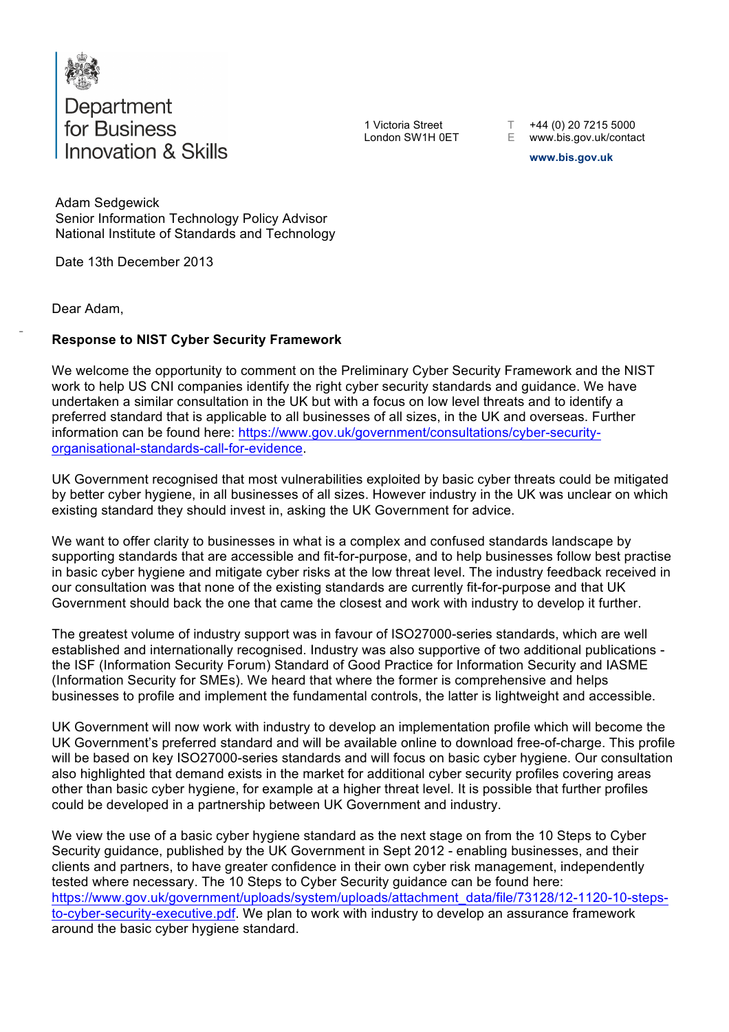

Department<br>for Business **Innovation & Skills** 

1 Victoria Street T +44 (0) 20 7215 5000

London SW1H 0ET E www.bis.gov.uk/contact

**www.bis.gov.uk** 

 Senior Information Technology Policy Advisor National Institute of Standards and Technology Adam Sedgewick

Date 13th December 2013

Dear Adam,

## - **Response to NIST Cyber Security Framework**

 We welcome the opportunity to comment on the Preliminary Cyber Security Framework and the NIST work to help US CNI companies identify the right cyber security standards and guidance. We have undertaken a similar consultation in the UK but with a focus on low level threats and to identify a preferred standard that is applicable to all businesses of all sizes, in the UK and overseas. Further information can be found here: https://www.gov.uk/government/consultations/cyber-securityorganisational-standards-call-for-evidence.

 UK Government recognised that most vulnerabilities exploited by basic cyber threats could be mitigated by better cyber hygiene, in all businesses of all sizes. However industry in the UK was unclear on which existing standard they should invest in, asking the UK Government for advice.

 We want to offer clarity to businesses in what is a complex and confused standards landscape by supporting standards that are accessible and fit-for-purpose, and to help businesses follow best practise in basic cyber hygiene and mitigate cyber risks at the low threat level. The industry feedback received in our consultation was that none of the existing standards are currently fit-for-purpose and that UK Government should back the one that came the closest and work with industry to develop it further.

 The greatest volume of industry support was in favour of ISO27000-series standards, which are well established and internationally recognised. Industry was also supportive of two additional publications - the ISF (Information Security Forum) Standard of Good Practice for Information Security and IASME (Information Security for SMEs). We heard that where the former is comprehensive and helps businesses to profile and implement the fundamental controls, the latter is lightweight and accessible.

 UK Government will now work with industry to develop an implementation profile which will become the UK Government's preferred standard and will be available online to download free-of-charge. This profile will be based on key ISO27000-series standards and will focus on basic cyber hygiene. Our consultation also highlighted that demand exists in the market for additional cyber security profiles covering areas other than basic cyber hygiene, for example at a higher threat level. It is possible that further profiles could be developed in a partnership between UK Government and industry.

 We view the use of a basic cyber hygiene standard as the next stage on from the 10 Steps to Cyber Security guidance, published by the UK Government in Sept 2012 - enabling businesses, and their clients and partners, to have greater confidence in their own cyber risk management, independently tested where necessary. The 10 Steps to Cyber Security guidance can be found here: to-cyber-security-executive.pdf. We plan to work with industry to develop an assurance framework around the basic cyber hygiene standard. https://www.gov.uk/government/uploads/system/uploads/attachment\_data/file/73128/12-1120-10-steps